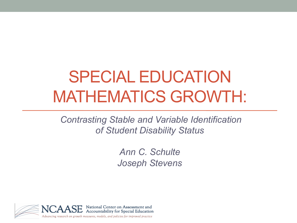# SPECIAL EDUCATION MATHEMATICS GROWTH:

*Contrasting Stable and Variable Identification of Student Disability Status* 

> *Ann C. Schulte Joseph Stevens*

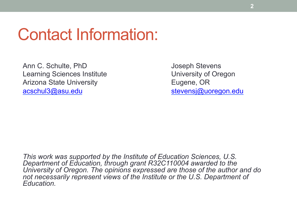#### Contact Information:

Ann C. Schulte, PhD Joseph Stevens Learning Sciences Institute **Learning Sciences Institute University of Oregon** Arizona State University **Eugene, OR** acschul3@asu.edu stevensj@uoregon.edu

*This work was supported by the Institute of Education Sciences, U.S. Department of Education, through grant R32C110004 awarded to the University of Oregon. The opinions expressed are those of the author and do not necessarily represent views of the Institute or the U.S. Department of Education.*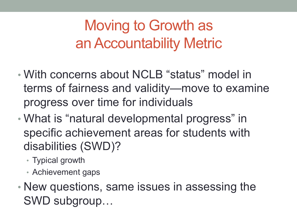### Moving to Growth as an Accountability Metric

- With concerns about NCLB "status" model in terms of fairness and validity—move to examine progress over time for individuals
- What is "natural developmental progress" in specific achievement areas for students with disabilities (SWD)?
	- Typical growth
	- Achievement gaps
- New questions, same issues in assessing the SWD subgroup…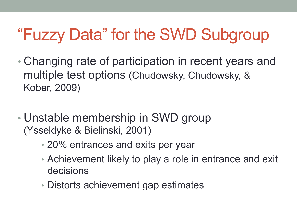# "Fuzzy Data" for the SWD Subgroup

- Changing rate of participation in recent years and multiple test options (Chudowsky, Chudowsky, & Kober, 2009)
- Unstable membership in SWD group (Ysseldyke & Bielinski, 2001)
	- 20% entrances and exits per year
	- Achievement likely to play a role in entrance and exit decisions
	- Distorts achievement gap estimates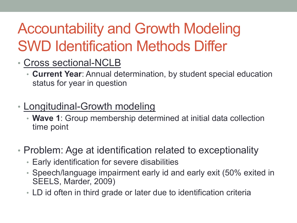# Accountability and Growth Modeling SWD Identification Methods Differ

- Cross sectional-NCLB
	- **Current Year**: Annual determination, by student special education status for year in question
- Longitudinal-Growth modeling
	- **Wave 1**: Group membership determined at initial data collection time point
- Problem: Age at identification related to exceptionality
	- Early identification for severe disabilities
	- Speech/language impairment early id and early exit (50% exited in SEELS, Marder, 2009)
	- LD id often in third grade or later due to identification criteria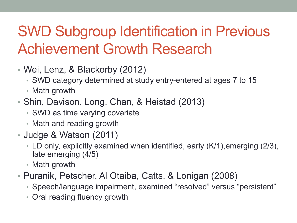## SWD Subgroup Identification in Previous Achievement Growth Research

- Wei, Lenz, & Blackorby (2012)
	- SWD category determined at study entry-entered at ages 7 to 15
	- Math growth
- Shin, Davison, Long, Chan, & Heistad (2013)
	- SWD as time varying covariate
	- Math and reading growth
- Judge & Watson (2011)
	- LD only, explicitly examined when identified, early (K/1),emerging (2/3), late emerging (4/5)
	- Math growth
- Puranik, Petscher, Al Otaiba, Catts, & Lonigan (2008)
	- Speech/language impairment, examined "resolved" versus "persistent"
	- Oral reading fluency growth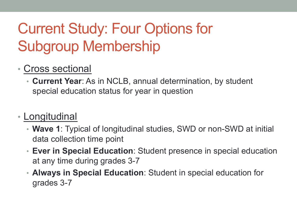# Current Study: Four Options for Subgroup Membership

#### • Cross sectional

• **Current Year**: As in NCLB, annual determination, by student special education status for year in question

#### • Longitudinal

- **Wave 1**: Typical of longitudinal studies, SWD or non-SWD at initial data collection time point
- **Ever in Special Education**: Student presence in special education at any time during grades 3-7
- **Always in Special Education**: Student in special education for grades 3-7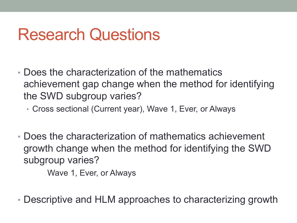## Research Questions

- Does the characterization of the mathematics achievement gap change when the method for identifying the SWD subgroup varies?
	- Cross sectional (Current year), Wave 1, Ever, or Always
- Does the characterization of mathematics achievement growth change when the method for identifying the SWD subgroup varies?

Wave 1, Ever, or Always

• Descriptive and HLM approaches to characterizing growth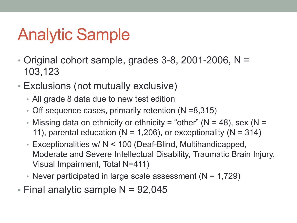# Analytic Sample

- Original cohort sample, grades 3-8, 2001-2006, N = 103,123
- Exclusions (not mutually exclusive)
	- All grade 8 data due to new test edition
	- Off sequence cases, primarily retention (N =8,315)
	- Missing data on ethnicity or ethnicity = "other" ( $N = 48$ ), sex ( $N = 12$ 11), parental education ( $N = 1,206$ ), or exceptionality ( $N = 314$ )
	- Exceptionalities w/ N < 100 (Deaf-Blind, Multihandicapped, Moderate and Severe Intellectual Disability, Traumatic Brain Injury, Visual Impairment, Total N=411)
	- Never participated in large scale assessment  $(N = 1,729)$
- Final analytic sample  $N = 92,045$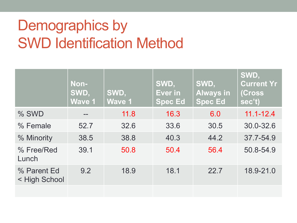### Demographics by SWD Identification Method

|                              | Non-<br>SWD,<br><b>Wave 1</b> | SWD,<br>Wave 1 | SWD,<br>Ever in<br><b>Spec Ed</b> | SWD,<br><b>Always in</b><br><b>Spec Ed</b> | SWD,<br><b>Current Yr</b><br>(Cross)<br>sec't) |
|------------------------------|-------------------------------|----------------|-----------------------------------|--------------------------------------------|------------------------------------------------|
| % SWD                        |                               | 11.8           | 16.3                              | 6.0                                        | $11.1 - 12.4$                                  |
| % Female                     | 52.7                          | 32.6           | 33.6                              | 30.5                                       | 30.0-32.6                                      |
| % Minority                   | 38.5                          | 38.8           | 40.3                              | 44.2                                       | 37.7-54.9                                      |
| % Free/Red<br>Lunch          | 39.1                          | 50.8           | 50.4                              | 56.4                                       | 50.8-54.9                                      |
| % Parent Ed<br>< High School | 9.2                           | 18.9           | 18.1                              | 22.7                                       | 18.9-21.0                                      |
|                              |                               |                |                                   |                                            |                                                |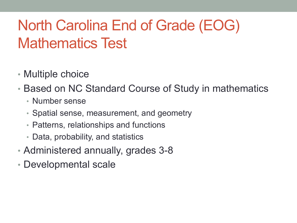#### North Carolina End of Grade (EOG) Mathematics Test

- Multiple choice
- Based on NC Standard Course of Study in mathematics
	- Number sense
	- Spatial sense, measurement, and geometry
	- Patterns, relationships and functions
	- Data, probability, and statistics
- Administered annually, grades 3-8
- Developmental scale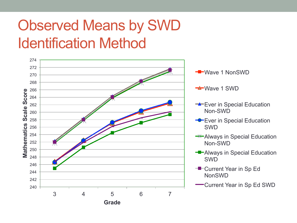### Observed Means by SWD Identification Method

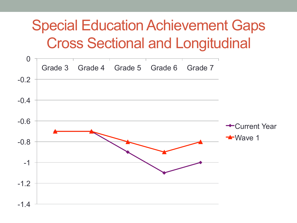#### Special Education Achievement Gaps Cross Sectional and Longitudinal

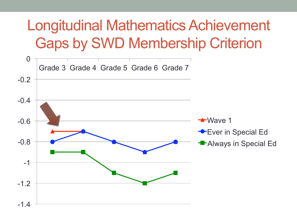### Longitudinal Mathematics Achievement Gaps by SWD Membership Criterion

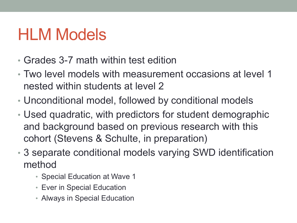# HLM Models

- Grades 3-7 math within test edition
- Two level models with measurement occasions at level 1 nested within students at level 2
- Unconditional model, followed by conditional models
- Used quadratic, with predictors for student demographic and background based on previous research with this cohort (Stevens & Schulte, in preparation)
- 3 separate conditional models varying SWD identification method
	- Special Education at Wave 1
	- Ever in Special Education
	- Always in Special Education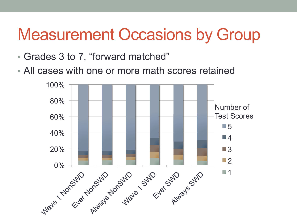# Measurement Occasions by Group

- Grades 3 to 7, "forward matched"
- All cases with one or more math scores retained

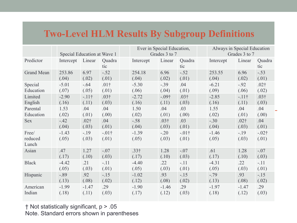#### **Two-Level HLM Results By Subgroup Definitions**

|                           | Special Education at Wave 1 |                  |                   | Ever in Special Education,<br>Grades 3 to 7 |                 |                   | Always in Special Education<br>Grades 3 to 7 |                  |                   |
|---------------------------|-----------------------------|------------------|-------------------|---------------------------------------------|-----------------|-------------------|----------------------------------------------|------------------|-------------------|
| Predictor                 | Intercept                   | Linear           | Quadra<br>tic     | Intercept                                   | Linear          | Quadra<br>tic     | Intercept                                    | Linear           | Quadra<br>tic     |
| Grand Mean                | 253.86                      | 6.97             | $-.52$            | 254.18                                      | 6.96            | $-.52$            | 253.55                                       | 6.96             | $-.53$            |
|                           | (.04)                       | (.02)            | (.01)             | (.04)                                       | (.02)           | (.01)             | (.04)                                        | (.02)            | (.01)             |
| Special                   | $-5.01$                     | $-.64$           | .01 <sup>†</sup>  | $-5.30$                                     | $-.39$          | .04               | $-6.21$                                      | $-.92$           | $.02\dagger$      |
| Education                 | (.07)                       | (.05)            | (.01)             | (.06)                                       | (.04)           | (.01)             | (.09)                                        | (.06)            | (.02)             |
| Limited                   | $-2.90$                     | $-11$ †          | $.03\dagger$      | $-2.72$                                     | $-09+$          | .03 <sup>†</sup>  | $-2.85$                                      | $-11$ †          | $.03\dagger$      |
| English                   | (.16)                       | (.11)            | (.03)             | (.16)                                       | (.11)           | (.03)             | (.16)                                        | (.11)            | (.03)             |
| Parental                  | 1.53                        | .04              | .04               | 1.50                                        | .04             | .03               | 1.55                                         | .04              | .04               |
| Education                 | (.02)                       | (.01)            | (.00)             | (.02)                                       | (.01)           | (.00)             | (.02)                                        | (.01)            | (.00)             |
| <b>Sex</b>                | $-.42$                      | .02 <sup>†</sup> | .04               | $-.58$                                      | $.03\dagger$    | .03               | $-.30$                                       | .02 <sup>†</sup> | .04               |
|                           | (.04)                       | (.03)            | (.01)             | (.04)                                       | (.03)           | (.01)             | (.04)                                        | (.03)            | (.01)             |
| Free/<br>reduced<br>Lunch | $-1.43$<br>(.05)            | $-19$<br>(.03)   | $-.01$ †<br>(.01) | $-1.39$<br>(.05)                            | $-.20$<br>(.03) | $-.01$ †<br>(.01) | $-1.46$<br>(.05)                             | $-19$<br>(.03)   | $-.02$ †<br>(.01) |
| Asian                     | .47                         | 1.27             | $-.07$            | .33 <sup>†</sup>                            | 1.28            | $-.07$            | .61                                          | 1.28             | $-.07$            |
|                           | (.17)                       | (.10)            | (.03)             | (.17)                                       | (.10)           | (.03)             | (.17)                                        | (.10)            | (.03)             |
| <b>Black</b>              | $-4.42$                     | .21              | $-.11$            | $-4.40$                                     | .22             | $-.11$            | $-4.31$                                      | .22              | $-.11$            |
|                           | (.05)                       | (.03)            | (.01)             | (.05)                                       | (.03)           | (.01)             | (.05)                                        | (.03)            | (.01)             |
| Hispanic                  | $-.89$                      | .92              | $-.15$            | $-1.02$                                     | .93             | $-.15$            | $-.79$                                       | .93              | $-15$             |
|                           | (.13)                       | (.08)            | (.02)             | (.12)                                       | (.08)           | (.02)             | (.13)                                        | (.08)            | (.02)             |
| American                  | $-1.99$                     | $-1.47$          | .29               | $-1.90$                                     | $-1.46$         | .29               | $-1.97$                                      | $-1.47$          | .29               |
| Indian                    | (.18)                       | (.11)            | (.03)             | (.17)                                       | (.12)           | (.03)             | (.18)                                        | (.12)            | (.03)             |

† Not statistically significant, p > .05 Note. Standard errors shown in parentheses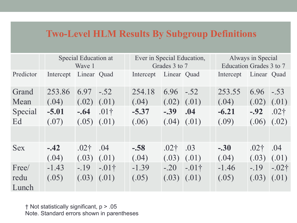#### **Two-Level HLM Results By Subgroup Definitions**

|            | Special Education at<br>Wave 1 |                  | Ever in Special Education,<br>Grades 3 to 7 |                       |                  | Always in Special<br>Education Grades 3 to 7 |           |                   |                |
|------------|--------------------------------|------------------|---------------------------------------------|-----------------------|------------------|----------------------------------------------|-----------|-------------------|----------------|
| Predictor  | Intercept                      | Linear Quad      |                                             | Intercept Linear Quad |                  |                                              | Intercept | Linear Quad       |                |
| Grand      | 253.86                         | 6.97             | $-.52$                                      | 254.18                | 6.96             | $-.52$                                       | 253.55    | 6.96              | $-.53$         |
| Mean       | (.04)                          | $(.02)$ $(.01)$  |                                             | (.04)                 | $(.02)$ $(.01)$  |                                              | (.04)     | $(0.02)$ $(0.01)$ |                |
| Special    | $-5.01$                        | $-64$ .01†       |                                             | $-5.37$               | $-.39$ .04       |                                              | $-6.21$   | $-0.92$ .02†      |                |
| Ed         | (.07)                          | $(.05)$ $(.01)$  |                                             | (.06)                 | (.04)            | (.01)                                        | (.09)     | (.06)             | (.02)          |
|            |                                |                  |                                             |                       |                  |                                              |           |                   |                |
| <b>Sex</b> | $-.42$                         | .02 <sup>†</sup> | .04                                         | $-.58$                | .02 <sub>†</sub> | .03                                          | $-.30$    | .02 <sub>†</sub>  | .04            |
|            | (.04)                          | $(.03)$ $(.01)$  |                                             | (.04)                 | (.03)            | (.01)                                        | (.04)     | (.03)             | (.01)          |
| Free/      | $-1.43$                        |                  | $-19$ $-01$ †                               | $-1.39$               |                  | $-.20$ $-.01\dagger$                         | $-1.46$   |                   | $-.19 - .02$ † |
| redu       | (.05)                          | $(.03)$ $(.01)$  |                                             | (.05)                 | (.03)            | (.01)                                        | (.05)     | (.03)             | (.01)          |
| Lunch      |                                |                  |                                             |                       |                  |                                              |           |                   |                |

† Not statistically significant, p > .05 Note. Standard errors shown in parentheses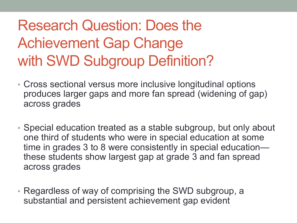## Research Question: Does the Achievement Gap Change with SWD Subgroup Definition?

- Cross sectional versus more inclusive longitudinal options produces larger gaps and more fan spread (widening of gap) across grades
- Special education treated as a stable subgroup, but only about one third of students who were in special education at some time in grades 3 to 8 were consistently in special education these students show largest gap at grade 3 and fan spread across grades
- Regardless of way of comprising the SWD subgroup, a substantial and persistent achievement gap evident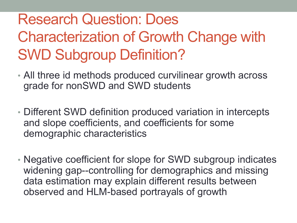### Research Question: Does Characterization of Growth Change with SWD Subgroup Definition?

- All three id methods produced curvilinear growth across grade for nonSWD and SWD students
- Different SWD definition produced variation in intercepts and slope coefficients, and coefficients for some demographic characteristics
- Negative coefficient for slope for SWD subgroup indicates widening gap--controlling for demographics and missing data estimation may explain different results between observed and HLM-based portrayals of growth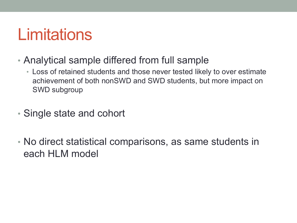# **Limitations**

- Analytical sample differed from full sample
	- Loss of retained students and those never tested likely to over estimate achievement of both nonSWD and SWD students, but more impact on SWD subgroup
- Single state and cohort
- No direct statistical comparisons, as same students in each HLM model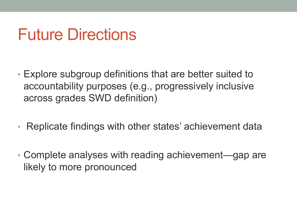## Future Directions

- Explore subgroup definitions that are better suited to accountability purposes (e.g., progressively inclusive across grades SWD definition)
- Replicate findings with other states' achievement data
- Complete analyses with reading achievement—gap are likely to more pronounced